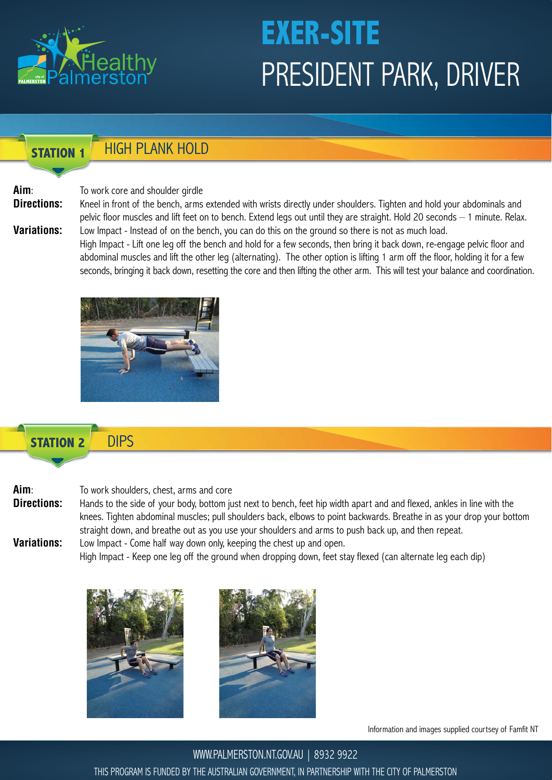

#### **STATION 1** HIGH PLANK HOLD

#### **Aim**: To work core and shoulder girdle

**Directions:** Kneel in front of the bench, arms extended with wrists directly under shoulders. Tighten and hold your abdominals and

 pelvic floor muscles and lift feet on to bench. Extend legs out until they are straight. Hold 20 seconds – 1 minute. Relax. **Variations:** Low Impact - Instead of on the bench, you can do this on the ground so there is not as much load. High Impact - Lift one leg off the bench and hold for a few seconds, then bring it back down, re-engage pelvic floor and

 abdominal muscles and lift the other leg (alternating). The other option is lifting 1 arm off the floor, holding it for a few seconds, bringing it back down, resetting the core and then lifting the other arm. This will test your balance and coordination.



#### **STATION 2** DIPS

### **Aim**: To work shoulders, chest, arms and core

**Directions:** Hands to the side of your body, bottom just next to bench, feet hip width apart and and flexed, ankles in line with the knees. Tighten abdominal muscles; pull shoulders back, elbows to point backwards. Breathe in as your drop your bottom straight down, and breathe out as you use your shoulders and arms to push back up, and then repeat. **Variations:** Low Impact - Come half way down only, keeping the chest up and open.

High Impact - Keep one leg off the ground when dropping down, feet stay flexed (can alternate leg each dip)





Information and images supplied courtsey of Famfit NT

WWW.PALMERSTON.NT.GOV.AU | 8932 9922 THIS PROGRAM IS FUNDED BY THE AUSTRALIAN GOVERNMENT, IN PARTNERSHIP WITH THE CITY OF PALMERSTON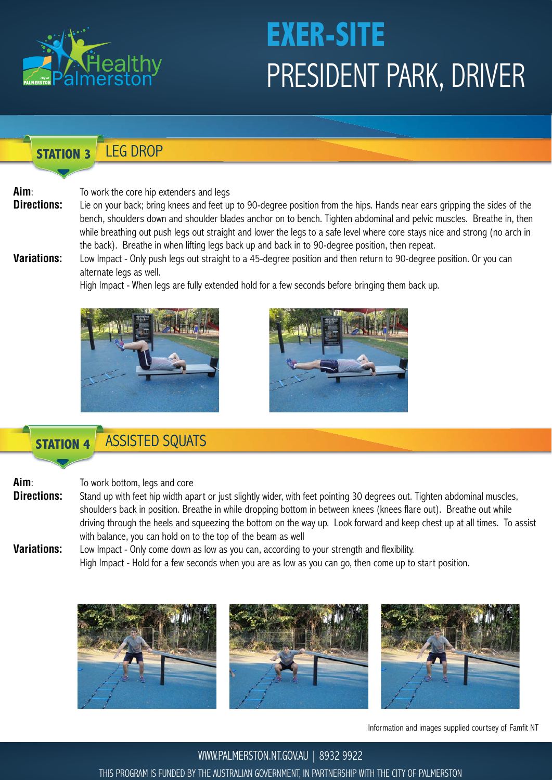

**STATION 3** LEG DROP

**Aim**: To work the core hip extenders and legs

**Directions:** Lie on your back; bring knees and feet up to 90-degree position from the hips. Hands near ears gripping the sides of the bench, shoulders down and shoulder blades anchor on to bench. Tighten abdominal and pelvic muscles. Breathe in, then while breathing out push legs out straight and lower the legs to a safe level where core stays nice and strong (no arch in the back). Breathe in when lifting legs back up and back in to 90-degree position, then repeat.

**Variations:** Low Impact - Only push legs out straight to a 45-degree position and then return to 90-degree position. Or you can alternate legs as well.

High Impact - When legs are fully extended hold for a few seconds before bringing them back up.





### **STATION 4** ASSISTED SQUATS

**Aim**: To work bottom, legs and core

**Directions:** Stand up with feet hip width apart or just slightly wider, with feet pointing 30 degrees out. Tighten abdominal muscles, shoulders back in position. Breathe in while dropping bottom in between knees (knees flare out). Breathe out while driving through the heels and squeezing the bottom on the way up. Look forward and keep chest up at all times. To assist with balance, you can hold on to the top of the beam as well

**Variations:** Low Impact - Only come down as low as you can, according to your strength and flexibility. High Impact - Hold for a few seconds when you are as low as you can go, then come up to start position.



Information and images supplied courtsey of Famfit NT

WWW.PALMERSTON.NT.GOV.AU | 8932 9922 THIS PROGRAM IS FUNDED BY THE AUSTRALIAN GOVERNMENT, IN PARTNERSHIP WITH THE CITY OF PALMERSTON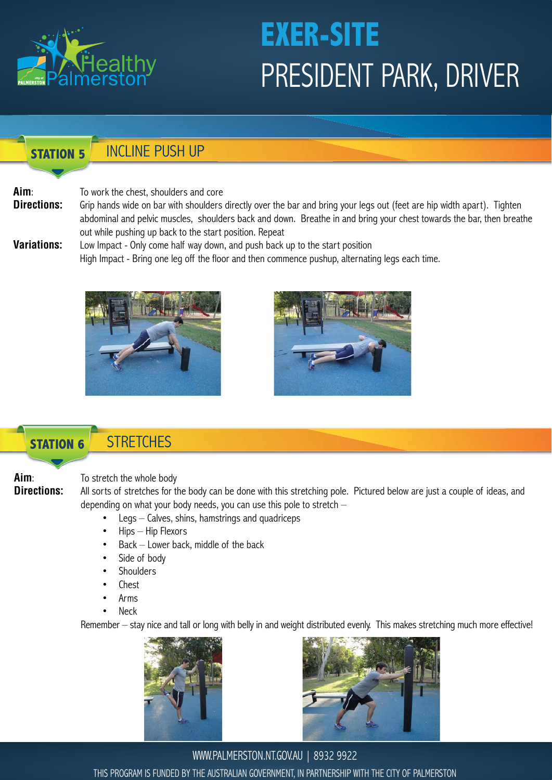

#### **STATION 5** INCLINE PUSH UP

### **Aim**: To work the chest, shoulders and core

- **Directions:** Grip hands wide on bar with shoulders directly over the bar and bring your legs out (feet are hip width apart). Tighten abdominal and pelvic muscles, shoulders back and down. Breathe in and bring your chest towards the bar, then breathe out while pushing up back to the start position. Repeat
- **Variations:** Low Impact Only come half way down, and push back up to the start position High Impact - Bring one leg off the floor and then commence pushup, alternating legs each time.





### **STATION 6**

### **STRETCHES**

### **Aim:** To stretch the whole body

**Directions:** All sorts of stretches for the body can be done with this stretching pole. Pictured below are just a couple of ideas, and depending on what your body needs, you can use this pole to stretch –

- $Legs Calves$ , shins, hamstrings and quadriceps
- $Hips Hip$  Flexors
- $Back Lower$  back, middle of the back
- Side of body
- **Shoulders**
- Chest
- Arms
- **Neck**

Remember – stay nice and tall or long with belly in and weight distributed evenly. This makes stretching much more effective!





WWW.PALMERSTON.NT.GOV.AU | 8932 9922 THIS PROGRAM IS FUNDED BY THE AUSTRALIAN GOVERNMENT, IN PARTNERSHIP WITH THE CITY OF PALMERSTON